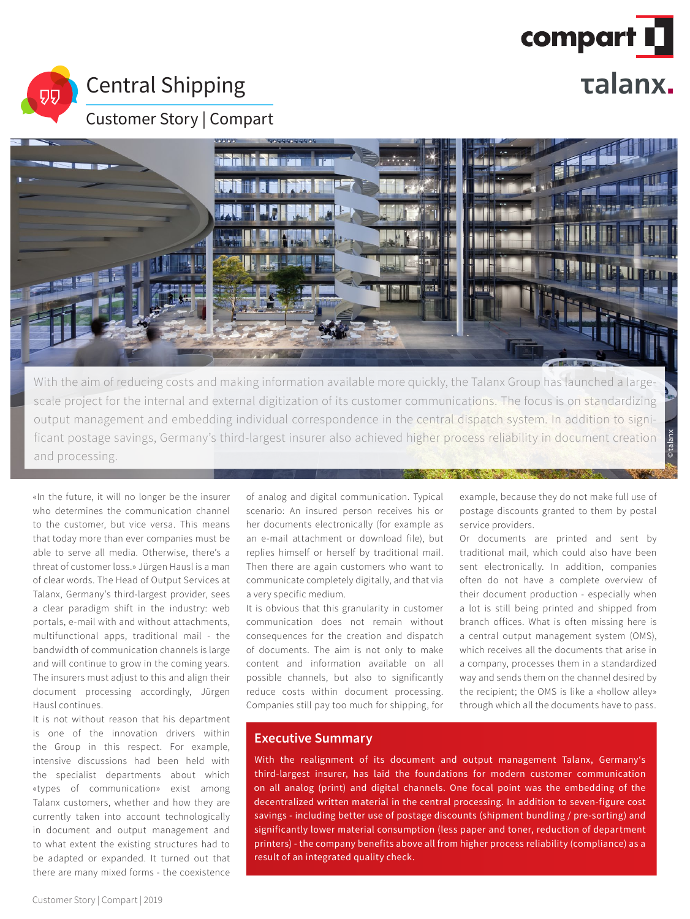

# Central Shipping

叨

Customer Story | Compart



With the aim of reducing costs and making information available more quickly, the Talanx Group has launched a largescale project for the internal and external digitization of its customer communications. The focus is on standardizing output management and embedding individual correspondence in the central dispatch system. In addition to significant postage savings, Germany's third-largest insurer also achieved higher process reliability in document creation and processing.

«In the future, it will no longer be the insurer who determines the communication channel to the customer, but vice versa. This means that today more than ever companies must be able to serve all media. Otherwise, there's a threat of customer loss.» Jürgen Hausl is a man of clear words. The Head of Output Services at Talanx, Germany's third-largest provider, sees a clear paradigm shift in the industry: web portals, e-mail with and without attachments, multifunctional apps, traditional mail - the bandwidth of communication channels is large and will continue to grow in the coming years. The insurers must adjust to this and align their document processing accordingly, Jürgen Hausl continues.

It is not without reason that his department is one of the innovation drivers within the Group in this respect. For example, intensive discussions had been held with the specialist departments about which «types of communication» exist among Talanx customers, whether and how they are currently taken into account technologically in document and output management and to what extent the existing structures had to be adapted or expanded. It turned out that there are many mixed forms - the coexistence

of analog and digital communication. Typical scenario: An insured person receives his or her documents electronically (for example as an e-mail attachment or download file), but replies himself or herself by traditional mail. Then there are again customers who want to communicate completely digitally, and that via a very specific medium.

It is obvious that this granularity in customer communication does not remain without consequences for the creation and dispatch of documents. The aim is not only to make content and information available on all possible channels, but also to significantly reduce costs within document processing. Companies still pay too much for shipping, for example, because they do not make full use of postage discounts granted to them by postal service providers.

© talanx

Or documents are printed and sent by traditional mail, which could also have been sent electronically. In addition, companies often do not have a complete overview of their document production - especially when a lot is still being printed and shipped from branch offices. What is often missing here is a central output management system (OMS), which receives all the documents that arise in a company, processes them in a standardized way and sends them on the channel desired by the recipient; the OMS is like a «hollow alley» through which all the documents have to pass.

## **Executive Summary**

With the realignment of its document and output management Talanx, Germany's third-largest insurer, has laid the foundations for modern customer communication on all analog (print) and digital channels. One focal point was the embedding of the decentralized written material in the central processing. In addition to seven-figure cost savings - including better use of postage discounts (shipment bundling / pre-sorting) and significantly lower material consumption (less paper and toner, reduction of department printers) - the company benefits above all from higher process reliability (compliance) as a result of an integrated quality check.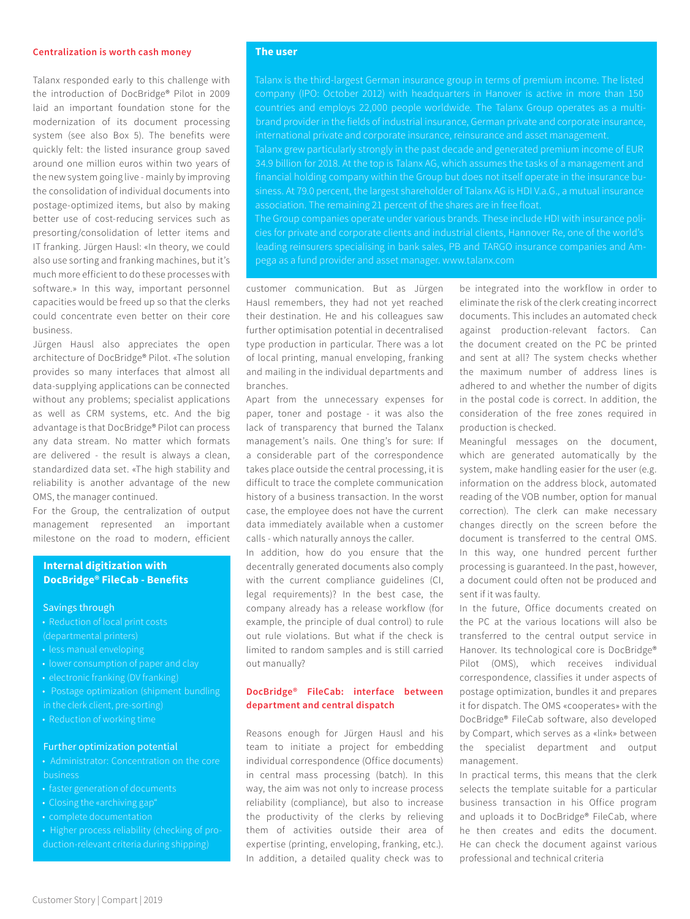#### **Centralization is worth cash money**

Talanx responded early to this challenge with the introduction of DocBridge® Pilot in 2009 laid an important foundation stone for the modernization of its document processing system (see also Box 5). The benefits were quickly felt: the listed insurance group saved around one million euros within two years of the new system going live - mainly by improving the consolidation of individual documents into postage-optimized items, but also by making better use of cost-reducing services such as presorting/consolidation of letter items and IT franking. Jürgen Hausl: «In theory, we could also use sorting and franking machines, but it's much more efficient to do these processes with software.» In this way, important personnel capacities would be freed up so that the clerks could concentrate even better on their core business.

Jürgen Hausl also appreciates the open architecture of DocBridge® Pilot. «The solution provides so many interfaces that almost all data-supplying applications can be connected without any problems; specialist applications as well as CRM systems, etc. And the big advantage is that DocBridge® Pilot can process any data stream. No matter which formats are delivered - the result is always a clean, standardized data set. «The high stability and reliability is another advantage of the new OMS, the manager continued.

For the Group, the centralization of output management represented an important milestone on the road to modern, efficient

## **Internal digitization with DocBridge® FileCab - Benefits**

#### Savings through

- Reduction of local print costs (departmental printers)
- 
- less manual enveloping
- 
- electronic franking (DV franking)
- Postage optimization (shipment bundling
- in the clerk client, pre-sorting)
- Reduction of working time

## Further optimization potential

- Administrator: Concentration on the core
- 
- Closing the «archiving gap"
- complete documentation
- Higher process reliability (checking of pro-

### **The user**

Talanx is the third-largest German insurance group in terms of premium income. The listed company (IPO: October 2012) with headquarters in Hanover is active in more than 150 countries and employs 22,000 people worldwide. The Talanx Group operates as a multibrand provider in the fields of industrial insurance, German private and corporate insurance, international private and corporate insurance, reinsurance and asset management.

Talanx grew particularly strongly in the past decade and generated premium income of EUR 34.9 billion for 2018. At the top is Talanx AG, which assumes the tasks of a management and siness. At 79.0 percent, the largest shareholder of Talanx AG is HDI V.a.G., a mutual insurance association. The remaining 21 percent of the shares are in free float.

The Group companies operate under various brands. These include HDI with insurance policies for private and corporate clients and industrial clients, Hannover Re, one of the world's pega as a fund provider and asset manager. www.talanx.com

customer communication. But as Jürgen Hausl remembers, they had not yet reached their destination. He and his colleagues saw further optimisation potential in decentralised type production in particular. There was a lot of local printing, manual enveloping, franking and mailing in the individual departments and branches.

Apart from the unnecessary expenses for paper, toner and postage - it was also the lack of transparency that burned the Talanx management's nails. One thing's for sure: If a considerable part of the correspondence takes place outside the central processing, it is difficult to trace the complete communication history of a business transaction. In the worst case, the employee does not have the current data immediately available when a customer calls - which naturally annoys the caller.

In addition, how do you ensure that the decentrally generated documents also comply with the current compliance guidelines (CI, legal requirements)? In the best case, the company already has a release workflow (for example, the principle of dual control) to rule out rule violations. But what if the check is limited to random samples and is still carried out manually?

## **DocBridge® FileCab: interface between department and central dispatch**

Reasons enough for Jürgen Hausl and his team to initiate a project for embedding individual correspondence (Office documents) in central mass processing (batch). In this way, the aim was not only to increase process reliability (compliance), but also to increase the productivity of the clerks by relieving them of activities outside their area of expertise (printing, enveloping, franking, etc.). In addition, a detailed quality check was to

be integrated into the workflow in order to eliminate the risk of the clerk creating incorrect documents. This includes an automated check against production-relevant factors. Can the document created on the PC be printed and sent at all? The system checks whether the maximum number of address lines is adhered to and whether the number of digits in the postal code is correct. In addition, the consideration of the free zones required in production is checked.

Meaningful messages on the document, which are generated automatically by the system, make handling easier for the user (e.g. information on the address block, automated reading of the VOB number, option for manual correction). The clerk can make necessary changes directly on the screen before the document is transferred to the central OMS. In this way, one hundred percent further processing is guaranteed. In the past, however, a document could often not be produced and sent if it was faulty.

In the future, Office documents created on the PC at the various locations will also be transferred to the central output service in Hanover. Its technological core is DocBridge® Pilot (OMS), which receives individual correspondence, classifies it under aspects of postage optimization, bundles it and prepares it for dispatch. The OMS «cooperates» with the DocBridge® FileCab software, also developed by Compart, which serves as a «link» between the specialist department and output management.

In practical terms, this means that the clerk selects the template suitable for a particular business transaction in his Office program and uploads it to DocBridge® FileCab, where he then creates and edits the document. He can check the document against various professional and technical criteria